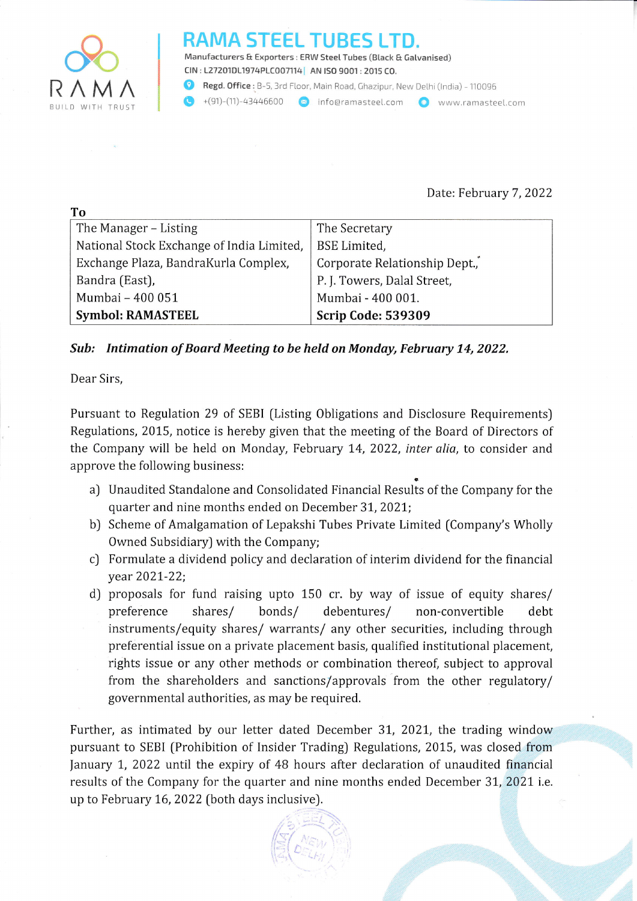

To

## STEEL TUBE

Manufacturers & Exporters : ERW Steel Tubes (Black E Gatvanised) CIN : 127201D11974PLC007114 | AN ISO 9001 : 2015 CO.

Regd. Office: B-5, 3rd Floor, Main Road, Ghazipur, New Delhi (India) - 110096

(p +(91)-(11)-a3a46600 s) info@ramasteeL.com O www,ramastee[.com BUILD WITH TRUST

## Date: February 7,2022

| --                                        |                               |
|-------------------------------------------|-------------------------------|
| The Manager – Listing                     | The Secretary                 |
| National Stock Exchange of India Limited, | <b>BSE</b> Limited,           |
| Exchange Plaza, BandraKurla Complex,      | Corporate Relationship Dept., |
| Bandra (East),                            | P. J. Towers, Dalal Street,   |
| Mumbai - 400 051                          | Mumbai - 400 001.             |
| <b>Symbol: RAMASTEEL</b>                  | <b>Scrip Code: 539309</b>     |

## Sub: Intimation of Board Meeting to be held on Monday, February 74, 2022.

Dear Sirs,

Pursuant to Regulation 29 of SEBI [Listing Obligations and Disclosure Requirements) Regulations, 2015, notice is hereby given that the meeting of the Board of Directors of the Company will be held on Monday, February 14, 2022, *inter alia*, to consider and approve the following business:

- a) Unaudited Standalone and Consolidated Financial Results of the Company for the quarter and nine months ended on December 3L,2021;
- b) Scheme of Amalgamation of Lepakshi Tubes Private Limited (Company's Wholly Owned Subsidiary) with the Company;
- c) Formulate a dividend policy and declaration of interim dividend for the financial year 202L-22;
- d) proposals for fund raising upto 150 cr. by way of issue of equity shares/ preference shares/ bonds/ debentures/ non-convertible debt instruments/equity shares/ warrants/ any other securities, including through preferential issue on a private placement basis, qualified institutional placement, rights issue or any other methods or combination thereof, subject to approval from the shareholders and sanctions/approvals from the other regulatory/ governmental authorities, as may be required.

Further, as intimated by our letter dated December 31, 2021, the trading window pursuant to SEBI (Prohibition of Insider Trading) Regulations, 2015, was closed from January 1, 2022 until the expiry of 48 hours after declaration of unaudited financial results of the Company for the quarter and nine months ended December 31, 2021 i.e. up to February 16, 2022 (both days inclusive).

> .' ... :'^  $\sum_{i=1}^{\infty}$

 $\left(\sqrt{3}\right)^{2}$  ,  $\sqrt{3}$ 

 $\mathbb{E}\left[\mathcal{L}_{\mathbb{E}\left[\mathcal{L}_{\mathcal{H}_{i}}\right]}\right]$